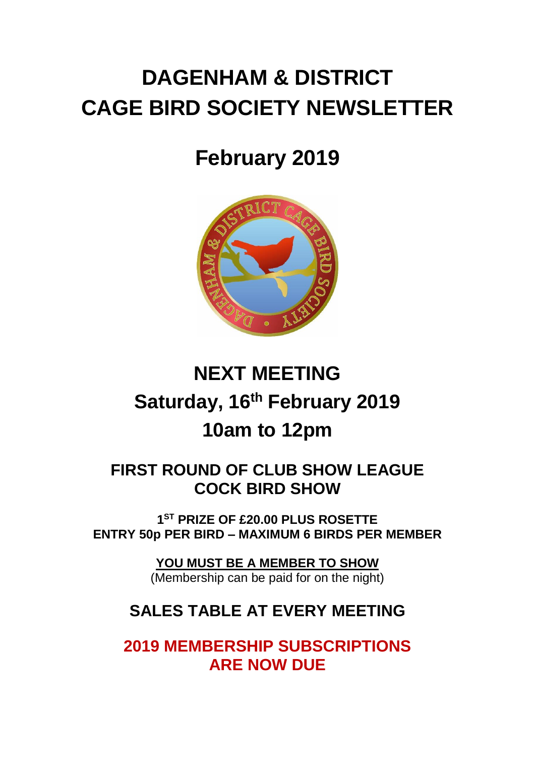# **DAGENHAM & DISTRICT CAGE BIRD SOCIETY NEWSLETTER**

## **February 2019**



# **NEXT MEETING Saturday, 16th February 2019 10am to 12pm**

## **FIRST ROUND OF CLUB SHOW LEAGUE COCK BIRD SHOW**

**1 ST PRIZE OF £20.00 PLUS ROSETTE ENTRY 50p PER BIRD – MAXIMUM 6 BIRDS PER MEMBER**

**YOU MUST BE A MEMBER TO SHOW**

(Membership can be paid for on the night)

## **SALES TABLE AT EVERY MEETING**

**2019 MEMBERSHIP SUBSCRIPTIONS ARE NOW DUE**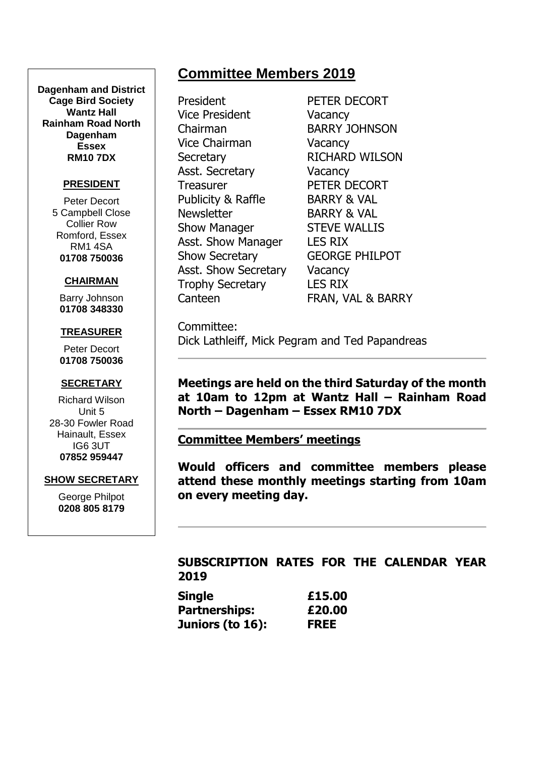## **Committee Members 2019**

**Dagenham and District Cage Bird Society Wantz Hall Rainham Road North Dagenham Essex RM10 7DX**

#### **PRESIDENT**

Peter Decort 5 Campbell Close Collier Row Romford, Essex RM1 4SA **01708 750036**

#### **CHAIRMAN**

Barry Johnson **01708 348330**

#### **TREASURER**

Peter Decort **01708 750036**

#### **SECRETARY**

Richard Wilson Unit 5 28-30 Fowler Road Hainault, Essex IG6 3UT **07852 959447**

#### **SHOW SECRETARY**

George Philpot **0208 805 8179**

President PETER DECORT Vice President Vacancy Chairman BARRY JOHNSON Vice Chairman Vacancy Secretary RICHARD WILSON Asst. Secretary **Vacancy** Treasurer PETER DECORT Publicity & Raffle BARRY & VAL Newsletter BARRY & VAL Show Manager STEVE WALLIS Asst. Show Manager LES RIX Show Secretary **GEORGE PHILPOT** Asst. Show Secretary Vacancy Trophy Secretary LES RIX

Canteen **FRAN, VAL & BARRY** 

Committee: Dick Lathleiff, Mick Pegram and Ted Papandreas

**Meetings are held on the third Saturday of the month at 10am to 12pm at Wantz Hall – Rainham Road North – Dagenham – Essex RM10 7DX**

**Committee Members' meetings**

**Would officers and committee members please attend these monthly meetings starting from 10am on every meeting day.**

#### **SUBSCRIPTION RATES FOR THE CALENDAR YEAR 2019**

| Single           | £15.00      |
|------------------|-------------|
| Partnerships:    | £20.00      |
| Juniors (to 16): | <b>FREE</b> |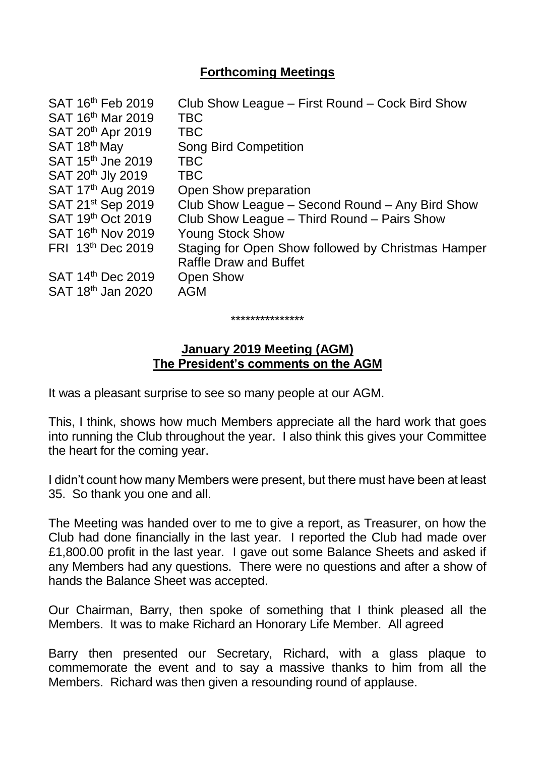## **Forthcoming Meetings**

| SAT 16th Feb 2019<br>SAT 16 <sup>th</sup> Mar 2019 | Club Show League – First Round – Cock Bird Show<br><b>TBC</b> |
|----------------------------------------------------|---------------------------------------------------------------|
| SAT 20 <sup>th</sup> Apr 2019                      | <b>TBC</b>                                                    |
| SAT 18th May                                       | <b>Song Bird Competition</b>                                  |
| SAT 15 <sup>th</sup> Jne 2019                      | <b>TBC</b>                                                    |
| SAT 20 <sup>th</sup> Jly 2019                      | <b>TBC</b>                                                    |
| SAT 17 <sup>th</sup> Aug 2019                      | Open Show preparation                                         |
| SAT 21 <sup>st</sup> Sep 2019                      | Club Show League – Second Round – Any Bird Show               |
| SAT 19th Oct 2019                                  | Club Show League - Third Round - Pairs Show                   |
| SAT 16 <sup>th</sup> Nov 2019                      | <b>Young Stock Show</b>                                       |
| FRI 13 <sup>th</sup> Dec 2019                      | Staging for Open Show followed by Christmas Hamper            |
|                                                    | <b>Raffle Draw and Buffet</b>                                 |
| SAT 14 <sup>th</sup> Dec 2019                      | <b>Open Show</b>                                              |
| SAT 18 <sup>th</sup> Jan 2020                      | <b>AGM</b>                                                    |
|                                                    |                                                               |

## **January 2019 Meeting (AGM) The President's comments on the AGM**

\*\*\*\*\*\*\*\*\*\*\*\*\*\*\*

It was a pleasant surprise to see so many people at our AGM.

This, I think, shows how much Members appreciate all the hard work that goes into running the Club throughout the year. I also think this gives your Committee the heart for the coming year.

I didn't count how many Members were present, but there must have been at least 35. So thank you one and all.

The Meeting was handed over to me to give a report, as Treasurer, on how the Club had done financially in the last year. I reported the Club had made over £1,800.00 profit in the last year. I gave out some Balance Sheets and asked if any Members had any questions. There were no questions and after a show of hands the Balance Sheet was accepted.

Our Chairman, Barry, then spoke of something that I think pleased all the Members. It was to make Richard an Honorary Life Member. All agreed

Barry then presented our Secretary, Richard, with a glass plaque to commemorate the event and to say a massive thanks to him from all the Members. Richard was then given a resounding round of applause.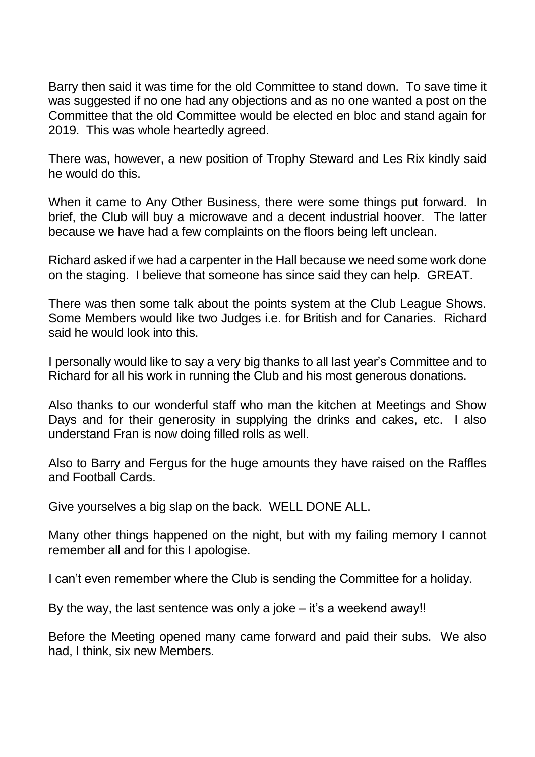Barry then said it was time for the old Committee to stand down. To save time it was suggested if no one had any objections and as no one wanted a post on the Committee that the old Committee would be elected en bloc and stand again for 2019. This was whole heartedly agreed.

There was, however, a new position of Trophy Steward and Les Rix kindly said he would do this.

When it came to Any Other Business, there were some things put forward. In brief, the Club will buy a microwave and a decent industrial hoover. The latter because we have had a few complaints on the floors being left unclean.

Richard asked if we had a carpenter in the Hall because we need some work done on the staging. I believe that someone has since said they can help. GREAT.

There was then some talk about the points system at the Club League Shows. Some Members would like two Judges i.e. for British and for Canaries. Richard said he would look into this.

I personally would like to say a very big thanks to all last year's Committee and to Richard for all his work in running the Club and his most generous donations.

Also thanks to our wonderful staff who man the kitchen at Meetings and Show Days and for their generosity in supplying the drinks and cakes, etc. I also understand Fran is now doing filled rolls as well.

Also to Barry and Fergus for the huge amounts they have raised on the Raffles and Football Cards.

Give yourselves a big slap on the back. WELL DONE ALL.

Many other things happened on the night, but with my failing memory I cannot remember all and for this I apologise.

I can't even remember where the Club is sending the Committee for a holiday.

By the way, the last sentence was only a joke  $-$  it's a weekend away!!

Before the Meeting opened many came forward and paid their subs. We also had, I think, six new Members.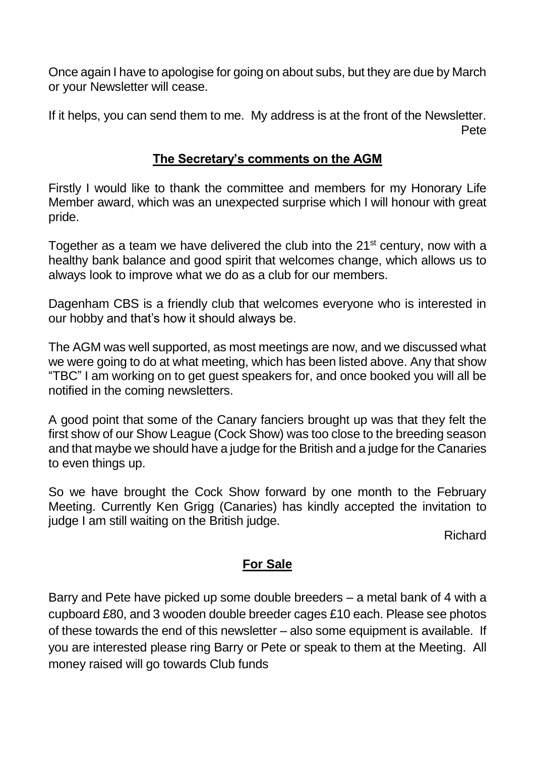Once again I have to apologise for going on about subs, but they are due by March or your Newsletter will cease.

If it helps, you can send them to me. My address is at the front of the Newsletter. Pete

## **The Secretary's comments on the AGM**

Firstly I would like to thank the committee and members for my Honorary Life Member award, which was an unexpected surprise which I will honour with great pride.

Together as a team we have delivered the club into the  $21<sup>st</sup>$  century, now with a healthy bank balance and good spirit that welcomes change, which allows us to always look to improve what we do as a club for our members.

Dagenham CBS is a friendly club that welcomes everyone who is interested in our hobby and that's how it should always be.

The AGM was well supported, as most meetings are now, and we discussed what we were going to do at what meeting, which has been listed above. Any that show "TBC" I am working on to get guest speakers for, and once booked you will all be notified in the coming newsletters.

A good point that some of the Canary fanciers brought up was that they felt the first show of our Show League (Cock Show) was too close to the breeding season and that maybe we should have a judge for the British and a judge for the Canaries to even things up.

So we have brought the Cock Show forward by one month to the February Meeting. Currently Ken Grigg (Canaries) has kindly accepted the invitation to judge I am still waiting on the British judge.

Richard

## **For Sale**

Barry and Pete have picked up some double breeders – a metal bank of 4 with a cupboard £80, and 3 wooden double breeder cages £10 each. Please see photos of these towards the end of this newsletter – also some equipment is available. If you are interested please ring Barry or Pete or speak to them at the Meeting. All money raised will go towards Club funds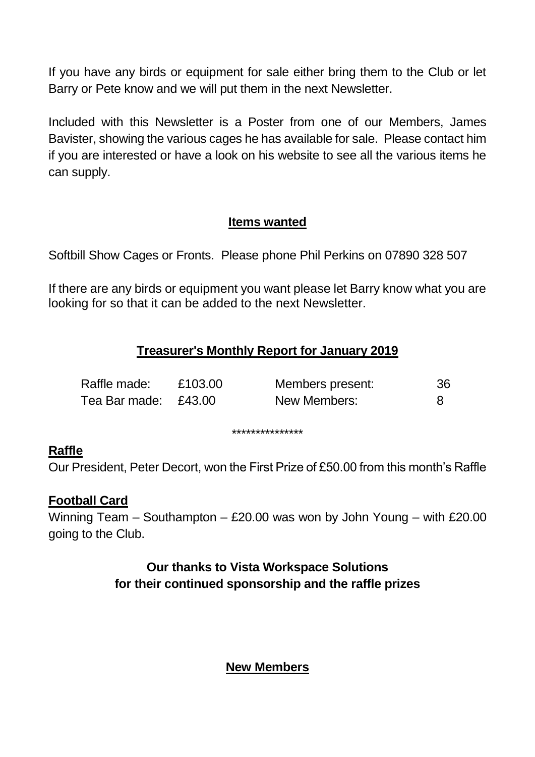If you have any birds or equipment for sale either bring them to the Club or let Barry or Pete know and we will put them in the next Newsletter.

Included with this Newsletter is a Poster from one of our Members, James Bavister, showing the various cages he has available for sale. Please contact him if you are interested or have a look on his website to see all the various items he can supply.

## **Items wanted**

Softbill Show Cages or Fronts. Please phone Phil Perkins on 07890 328 507

If there are any birds or equipment you want please let Barry know what you are looking for so that it can be added to the next Newsletter.

## **Treasurer's Monthly Report for January 2019**

| Raffle made:         | £103.00 | Members present: | 36 |
|----------------------|---------|------------------|----|
| Tea Bar made: £43.00 |         | New Members:     |    |

#### \*\*\*\*\*\*\*\*\*\*\*\*\*\*\*

## **Raffle**

Our President, Peter Decort, won the First Prize of £50.00 from this month's Raffle

## **Football Card**

Winning Team – Southampton – £20.00 was won by John Young – with £20.00 going to the Club.

> **Our thanks to Vista Workspace Solutions for their continued sponsorship and the raffle prizes**

> > **New Members**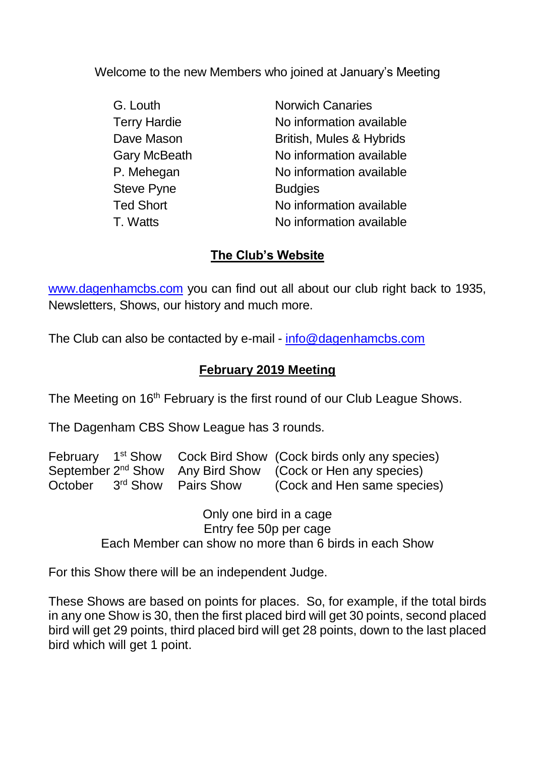Welcome to the new Members who joined at January's Meeting

Steve Pyne **Budgies** 

G. Louth Norwich Canaries Terry Hardie No information available Dave Mason British, Mules & Hybrids Gary McBeath No information available P. Mehegan No information available Ted Short No information available T. Watts No information available

## **The Club's Website**

[www.dagenhamcbs.com](http://www.dagenhamcbs.com/) you can find out all about our club right back to 1935, Newsletters, Shows, our history and much more.

The Club can also be contacted by e-mail - [info@dagenhamcbs.com](mailto:info@dagenhamcbs.com)

## **February 2019 Meeting**

The Meeting on 16<sup>th</sup> February is the first round of our Club League Shows.

The Dagenham CBS Show League has 3 rounds.

|         |                                 | February 1 <sup>st</sup> Show Cock Bird Show (Cock birds only any species) |
|---------|---------------------------------|----------------------------------------------------------------------------|
|         |                                 | September 2 <sup>nd</sup> Show Any Bird Show (Cock or Hen any species)     |
| October | 3 <sup>rd</sup> Show Pairs Show | (Cock and Hen same species)                                                |

Only one bird in a cage Entry fee 50p per cage Each Member can show no more than 6 birds in each Show

For this Show there will be an independent Judge.

These Shows are based on points for places. So, for example, if the total birds in any one Show is 30, then the first placed bird will get 30 points, second placed bird will get 29 points, third placed bird will get 28 points, down to the last placed bird which will get 1 point.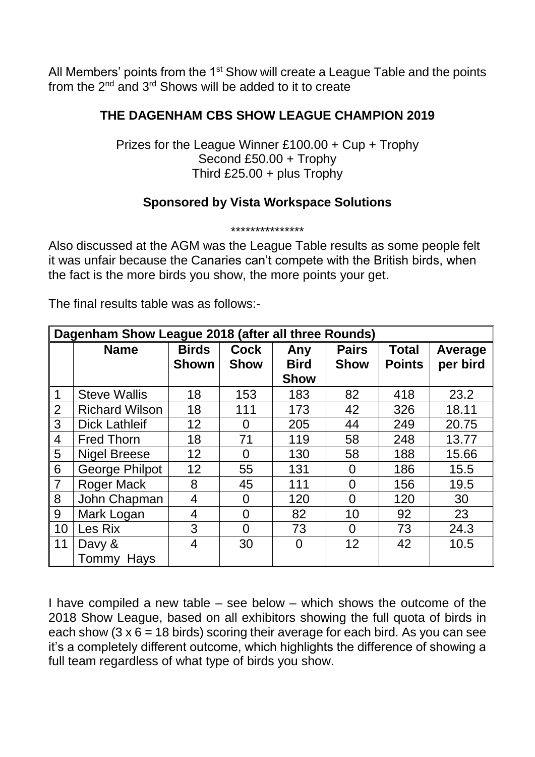All Members' points from the 1<sup>st</sup> Show will create a League Table and the points from the 2nd and 3rd Shows will be added to it to create

## **THE DAGENHAM CBS SHOW LEAGUE CHAMPION 2019**

Prizes for the League Winner £100.00 + Cup + Trophy Second £50.00 + Trophy Third £25.00 + plus Trophy

## **Sponsored by Vista Workspace Solutions**

\*\*\*\*\*\*\*\*\*\*\*\*\*\*\*

Also discussed at the AGM was the League Table results as some people felt it was unfair because the Canaries can't compete with the British birds, when the fact is the more birds you show, the more points your get.

The final results table was as follows:-

| Dagenham Show League 2018 (after all three Rounds) |                       |                              |                            |                                   |                             |                               |                     |
|----------------------------------------------------|-----------------------|------------------------------|----------------------------|-----------------------------------|-----------------------------|-------------------------------|---------------------|
|                                                    | <b>Name</b>           | <b>Birds</b><br><b>Shown</b> | <b>Cock</b><br><b>Show</b> | Any<br><b>Bird</b><br><b>Show</b> | <b>Pairs</b><br><b>Show</b> | <b>Total</b><br><b>Points</b> | Average<br>per bird |
| $\mathbf 1$                                        | <b>Steve Wallis</b>   | 18                           | 153                        | 183                               | 82                          | 418                           | 23.2                |
| $\overline{2}$                                     | <b>Richard Wilson</b> | 18                           | 111                        | 173                               | 42                          | 326                           | 18.11               |
| 3                                                  | <b>Dick Lathleif</b>  | 12                           | O                          | 205                               | 44                          | 249                           | 20.75               |
| $\overline{4}$                                     | <b>Fred Thorn</b>     | 18                           | 71                         | 119                               | 58                          | 248                           | 13.77               |
| 5                                                  | <b>Nigel Breese</b>   | 12                           | O                          | 130                               | 58                          | 188                           | 15.66               |
| 6                                                  | <b>George Philpot</b> | 12                           | 55                         | 131                               | $\Omega$                    | 186                           | 15.5                |
| $\overline{7}$                                     | <b>Roger Mack</b>     | 8                            | 45                         | 111                               | $\overline{0}$              | 156                           | 19.5                |
| 8                                                  | John Chapman          | 4                            | 0                          | 120                               | $\overline{0}$              | 120                           | 30                  |
| 9                                                  | Mark Logan            | 4                            | $\Omega$                   | 82                                | 10                          | 92                            | 23                  |
| 10                                                 | Les Rix               | 3                            | 0                          | 73                                | $\Omega$                    | 73                            | 24.3                |
| 11                                                 | Davy &                | 4                            | 30                         | $\overline{0}$                    | 12                          | 42                            | 10.5                |
|                                                    | Hays<br>Tommy         |                              |                            |                                   |                             |                               |                     |

I have compiled a new table – see below – which shows the outcome of the 2018 Show League, based on all exhibitors showing the full quota of birds in each show (3  $\times$  6 = 18 birds) scoring their average for each bird. As you can see it's a completely different outcome, which highlights the difference of showing a full team regardless of what type of birds you show.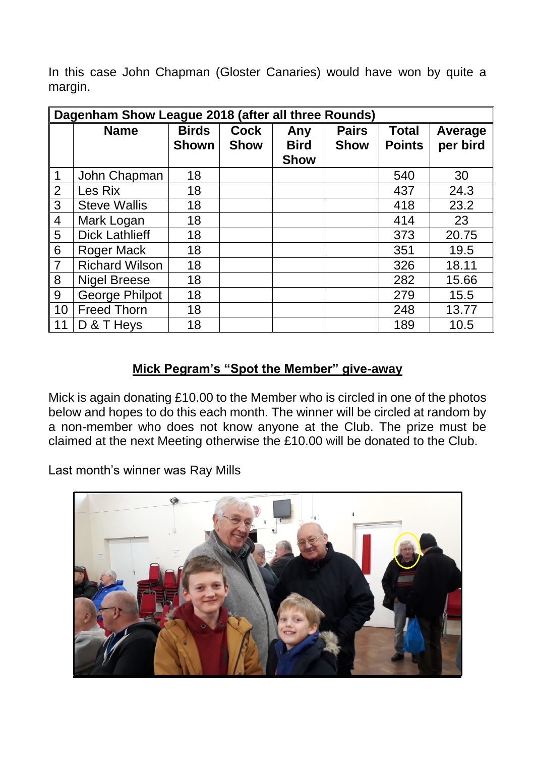In this case John Chapman (Gloster Canaries) would have won by quite a margin.

| Dagenham Show League 2018 (after all three Rounds) |                       |                              |                            |                                   |                             |                               |                     |
|----------------------------------------------------|-----------------------|------------------------------|----------------------------|-----------------------------------|-----------------------------|-------------------------------|---------------------|
|                                                    | <b>Name</b>           | <b>Birds</b><br><b>Shown</b> | <b>Cock</b><br><b>Show</b> | Any<br><b>Bird</b><br><b>Show</b> | <b>Pairs</b><br><b>Show</b> | <b>Total</b><br><b>Points</b> | Average<br>per bird |
| $\mathbf 1$                                        | John Chapman          | 18                           |                            |                                   |                             | 540                           | 30                  |
| 2                                                  | Les Rix               | 18                           |                            |                                   |                             | 437                           | 24.3                |
| $\mathbf{3}$                                       | <b>Steve Wallis</b>   | 18                           |                            |                                   |                             | 418                           | 23.2                |
| $\overline{4}$                                     | Mark Logan            | 18                           |                            |                                   |                             | 414                           | 23                  |
| $5\overline{)}$                                    | <b>Dick Lathlieff</b> | 18                           |                            |                                   |                             | 373                           | 20.75               |
| $6\,$                                              | <b>Roger Mack</b>     | 18                           |                            |                                   |                             | 351                           | 19.5                |
| $\overline{7}$                                     | <b>Richard Wilson</b> | 18                           |                            |                                   |                             | 326                           | 18.11               |
| 8                                                  | <b>Nigel Breese</b>   | 18                           |                            |                                   |                             | 282                           | 15.66               |
| 9                                                  | <b>George Philpot</b> | 18                           |                            |                                   |                             | 279                           | 15.5                |
| 10                                                 | <b>Freed Thorn</b>    | 18                           |                            |                                   |                             | 248                           | 13.77               |
| 11                                                 | D & T Heys            | 18                           |                            |                                   |                             | 189                           | 10.5                |

## **Mick Pegram's "Spot the Member" give-away**

Mick is again donating £10.00 to the Member who is circled in one of the photos below and hopes to do this each month. The winner will be circled at random by a non-member who does not know anyone at the Club. The prize must be claimed at the next Meeting otherwise the £10.00 will be donated to the Club.

Last month's winner was Ray Mills

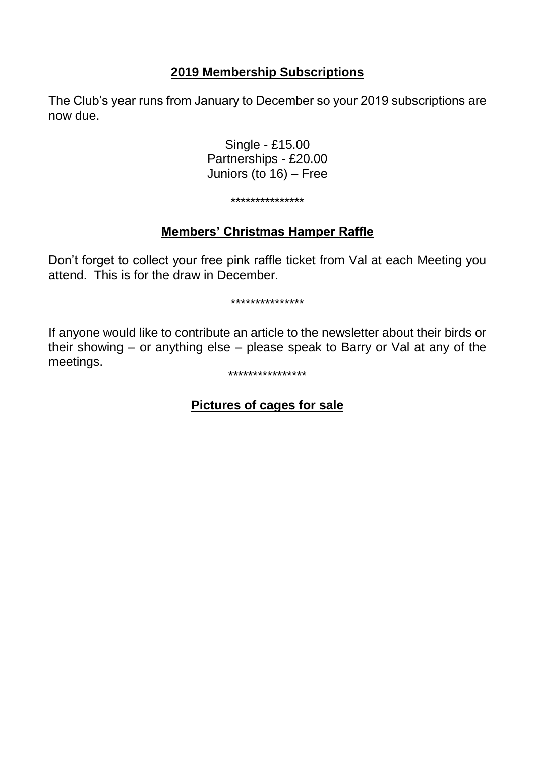## **2019 Membership Subscriptions**

The Club's year runs from January to December so your 2019 subscriptions are now due.

> Single - £15.00 Partnerships - £20.00 Juniors (to 16) – Free

#### \*\*\*\*\*\*\*\*\*\*\*\*\*\*\*

## **Members' Christmas Hamper Raffle**

Don't forget to collect your free pink raffle ticket from Val at each Meeting you attend. This is for the draw in December.

\*\*\*\*\*\*\*\*\*\*\*\*\*\*\*

If anyone would like to contribute an article to the newsletter about their birds or their showing – or anything else – please speak to Barry or Val at any of the meetings.

#### \*\*\*\*\*\*\*\*\*\*\*\*\*\*\*\*

## **Pictures of cages for sale**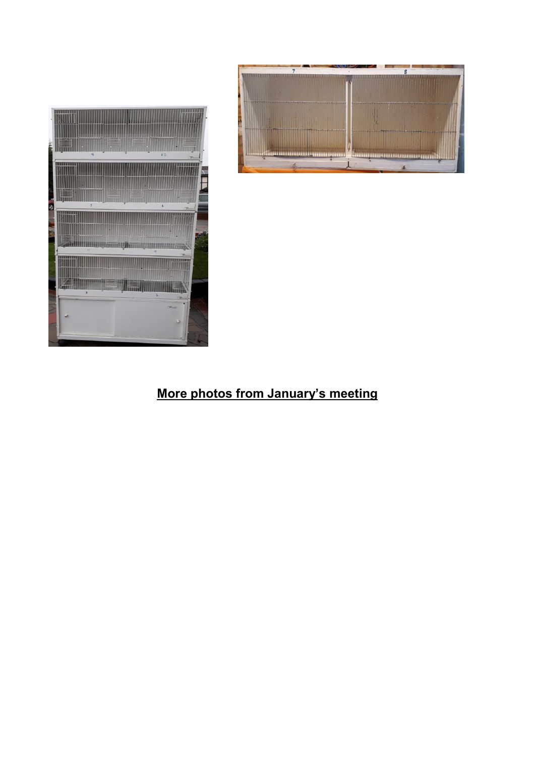



## **More photos from January's meeting**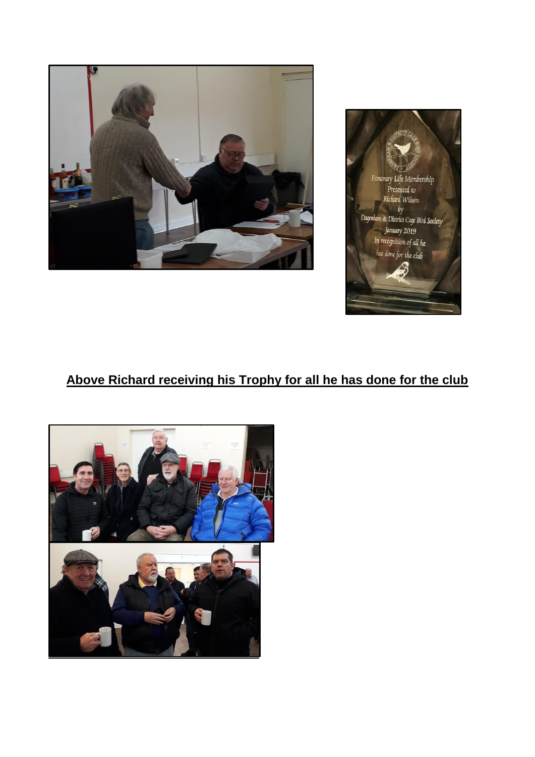



## **Above Richard receiving his Trophy for all he has done for the club**